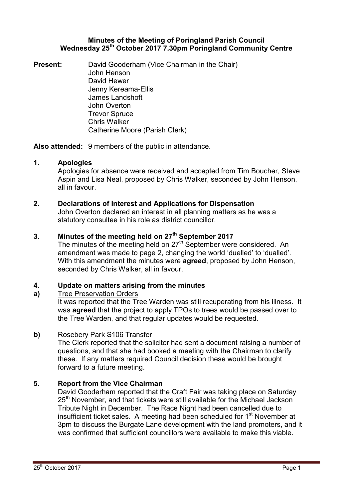### Minutes of the Meeting of Poringland Parish Council Wednesday 25<sup>th</sup> October 2017 7.30pm Poringland Community Centre

**Present:** David Gooderham (Vice Chairman in the Chair) John Henson David Hewer Jenny Kereama-Ellis James Landshoft John Overton Trevor Spruce Chris Walker Catherine Moore (Parish Clerk)

Also attended: 9 members of the public in attendance.

## 1. Apologies

Apologies for absence were received and accepted from Tim Boucher, Steve Aspin and Lisa Neal, proposed by Chris Walker, seconded by John Henson, all in favour.

## 2. Declarations of Interest and Applications for Dispensation

John Overton declared an interest in all planning matters as he was a statutory consultee in his role as district councillor.

# 3. Minutes of the meeting held on 27<sup>th</sup> September 2017

The minutes of the meeting held on  $27<sup>th</sup>$  September were considered. An amendment was made to page 2, changing the world 'duelled' to 'dualled'. With this amendment the minutes were **agreed**, proposed by John Henson, seconded by Chris Walker, all in favour.

#### 4. Update on matters arising from the minutes

#### a) Tree Preservation Orders

It was reported that the Tree Warden was still recuperating from his illness. It was **agreed** that the project to apply TPOs to trees would be passed over to the Tree Warden, and that regular updates would be requested.

### b) Rosebery Park S106 Transfer

The Clerk reported that the solicitor had sent a document raising a number of questions, and that she had booked a meeting with the Chairman to clarify these. If any matters required Council decision these would be brought forward to a future meeting.

# 5. Report from the Vice Chairman

David Gooderham reported that the Craft Fair was taking place on Saturday 25<sup>th</sup> November, and that tickets were still available for the Michael Jackson Tribute Night in December. The Race Night had been cancelled due to insufficient ticket sales. A meeting had been scheduled for 1<sup>st</sup> November at 3pm to discuss the Burgate Lane development with the land promoters, and it was confirmed that sufficient councillors were available to make this viable.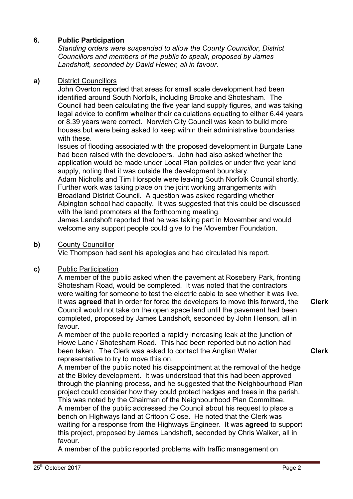# 6. Public Participation

Standing orders were suspended to allow the County Councillor, District Councillors and members of the public to speak, proposed by James Landshoft, seconded by David Hewer, all in favour.

## a) District Councillors

John Overton reported that areas for small scale development had been identified around South Norfolk, including Brooke and Shotesham. The Council had been calculating the five year land supply figures, and was taking legal advice to confirm whether their calculations equating to either 6.44 years or 8.39 years were correct. Norwich City Council was keen to build more houses but were being asked to keep within their administrative boundaries with these.

Issues of flooding associated with the proposed development in Burgate Lane had been raised with the developers. John had also asked whether the application would be made under Local Plan policies or under five year land supply, noting that it was outside the development boundary.

Adam Nicholls and Tim Horspole were leaving South Norfolk Council shortly. Further work was taking place on the joint working arrangements with Broadland District Council. A question was asked regarding whether Alpington school had capacity. It was suggested that this could be discussed with the land promoters at the forthcoming meeting.

James Landshoft reported that he was taking part in Movember and would welcome any support people could give to the Movember Foundation.

### **b)** County Councillor

Vic Thompson had sent his apologies and had circulated his report.

### c) Public Participation

A member of the public asked when the pavement at Rosebery Park, fronting Shotesham Road, would be completed. It was noted that the contractors were waiting for someone to test the electric cable to see whether it was live. It was **agreed** that in order for force the developers to move this forward, the Council would not take on the open space land until the pavement had been completed, proposed by James Landshoft, seconded by John Henson, all in favour. Clerk

A member of the public reported a rapidly increasing leak at the junction of Howe Lane / Shotesham Road. This had been reported but no action had been taken. The Clerk was asked to contact the Anglian Water representative to try to move this on.

A member of the public noted his disappointment at the removal of the hedge at the Bixley development. It was understood that this had been approved through the planning process, and he suggested that the Neighbourhood Plan project could consider how they could protect hedges and trees in the parish. This was noted by the Chairman of the Neighbourhood Plan Committee. A member of the public addressed the Council about his request to place a bench on Highways land at Critoph Close. He noted that the Clerk was waiting for a response from the Highways Engineer. It was **agreed** to support this project, proposed by James Landshoft, seconded by Chris Walker, all in favour.

A member of the public reported problems with traffic management on

Clerk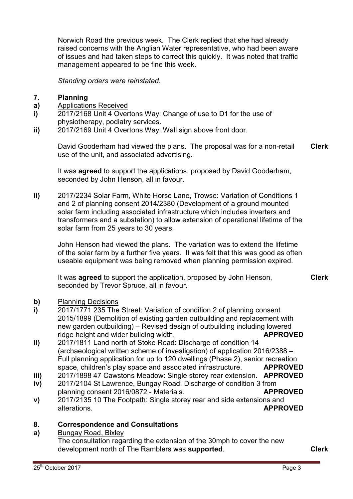Norwich Road the previous week. The Clerk replied that she had already raised concerns with the Anglian Water representative, who had been aware of issues and had taken steps to correct this quickly. It was noted that traffic management appeared to be fine this week.

Standing orders were reinstated.

#### 7. Planning

- a) Applications Received
- i) 2017/2168 Unit 4 Overtons Way: Change of use to D1 for the use of physiotherapy, podiatry services.
- ii) 2017/2169 Unit 4 Overtons Way: Wall sign above front door.

David Gooderham had viewed the plans. The proposal was for a non-retail use of the unit, and associated advertising. Clerk

It was **agreed** to support the applications, proposed by David Gooderham, seconded by John Henson, all in favour.

ii) 2017/2234 Solar Farm, White Horse Lane, Trowse: Variation of Conditions 1 and 2 of planning consent 2014/2380 (Development of a ground mounted solar farm including associated infrastructure which includes inverters and transformers and a substation) to allow extension of operational lifetime of the solar farm from 25 years to 30 years.

John Henson had viewed the plans. The variation was to extend the lifetime of the solar farm by a further five years. It was felt that this was good as often useable equipment was being removed when planning permission expired.

It was **agreed** to support the application, proposed by John Henson, seconded by Trevor Spruce, all in favour.

- b) Planning Decisions
- i) 2017/1771 235 The Street: Variation of condition 2 of planning consent 2015/1899 (Demolition of existing garden outbuilding and replacement with new garden outbuilding) – Revised design of outbuilding including lowered ridge height and wider building width. APPROVED
- ii) 2017/1811 Land north of Stoke Road: Discharge of condition 14 (archaeological written scheme of investigation) of application 2016/2388 – Full planning application for up to 120 dwellings (Phase 2), senior recreation space, children's play space and associated infrastructure. **APPROVED**
- iii) 2017/1898 47 Cawstons Meadow: Single storey rear extension. **APPROVED**
- iv) 2017/2104 St Lawrence, Bungay Road: Discharge of condition 3 from planning consent 2016/0872 - Materials. APPROVED
- v) 2017/2135 10 The Footpath: Single storey rear and side extensions and alterations. And the state of the state of the state of the state of the state of the state of the state of the state of the state of the state of the state of the state of the state of the state of the state of the state

#### 8. Correspondence and Consultations

a) Bungay Road, Bixley The consultation regarding the extension of the 30mph to cover the new development north of The Ramblers was **supported**.

Clerk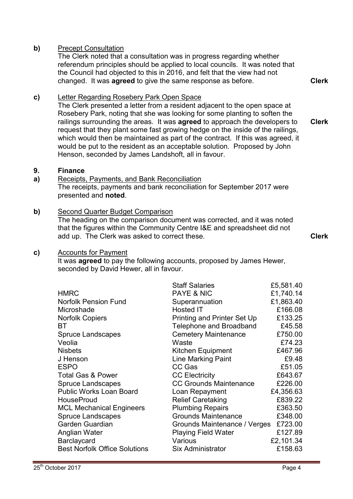### **b)** Precept Consultation

The Clerk noted that a consultation was in progress regarding whether referendum principles should be applied to local councils. It was noted that the Council had objected to this in 2016, and felt that the view had not changed. It was agreed to give the same response as before.

c) Letter Regarding Rosebery Park Open Space

The Clerk presented a letter from a resident adjacent to the open space at Rosebery Park, noting that she was looking for some planting to soften the railings surrounding the areas. It was **agreed** to approach the developers to request that they plant some fast growing hedge on the inside of the railings, which would then be maintained as part of the contract. If this was agreed, it would be put to the resident as an acceptable solution. Proposed by John Henson, seconded by James Landshoft, all in favour. Clerk

#### 9. Finance

#### a) Receipts, Payments, and Bank Reconciliation The receipts, payments and bank reconciliation for September 2017 were presented and noted.

### b) Second Quarter Budget Comparison

The heading on the comparison document was corrected, and it was noted that the figures within the Community Centre I&E and spreadsheet did not add up. The Clerk was asked to correct these. The contract of the Clerk

Clerk

#### c) Accounts for Payment

It was **agreed** to pay the following accounts, proposed by James Hewer, seconded by David Hewer, all in favour.

|                                      | <b>Staff Salaries</b>              | £5,581.40 |
|--------------------------------------|------------------------------------|-----------|
| <b>HMRC</b>                          | <b>PAYE &amp; NIC</b>              | £1,740.14 |
| <b>Norfolk Pension Fund</b>          | Superannuation                     | £1,863.40 |
| Microshade                           | Hosted IT                          | £166.08   |
| <b>Norfolk Copiers</b>               | <b>Printing and Printer Set Up</b> | £133.25   |
| ВT                                   | <b>Telephone and Broadband</b>     | £45.58    |
| <b>Spruce Landscapes</b>             | <b>Cemetery Maintenance</b>        | £750.00   |
| Veolia                               | Waste                              | £74.23    |
| <b>Nisbets</b>                       | Kitchen Equipment                  | £467.96   |
| J Henson                             | <b>Line Marking Paint</b>          | £9.48     |
| <b>ESPO</b>                          | CC Gas                             | £51.05    |
| <b>Total Gas &amp; Power</b>         | <b>CC Electricity</b>              | £643.67   |
| <b>Spruce Landscapes</b>             | <b>CC Grounds Maintenance</b>      | £226.00   |
| <b>Public Works Loan Board</b>       | Loan Repayment                     | £4,356.63 |
| <b>HouseProud</b>                    | <b>Relief Caretaking</b>           | £839.22   |
| <b>MCL Mechanical Engineers</b>      | <b>Plumbing Repairs</b>            | £363.50   |
| <b>Spruce Landscapes</b>             | <b>Grounds Maintenance</b>         | £348.00   |
| <b>Garden Guardian</b>               | Grounds Maintenance / Verges       | £723.00   |
| Anglian Water                        | <b>Playing Field Water</b>         | £127.89   |
| Barclaycard                          | Various                            | £2,101.34 |
| <b>Best Norfolk Office Solutions</b> | <b>Six Administrator</b>           | £158.63   |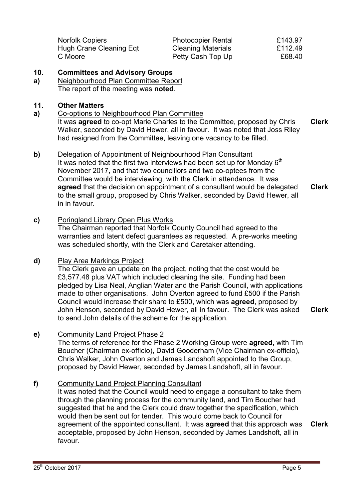| <b>Norfolk Copiers</b>  | <b>Photocopier Rental</b> | £143.97 |
|-------------------------|---------------------------|---------|
| Hugh Crane Cleaning Eqt | <b>Cleaning Materials</b> | £112.49 |
| C Moore                 | Petty Cash Top Up         | £68.40  |

#### 10. Committees and Advisory Groups

a) Neighbourhood Plan Committee Report The report of the meeting was noted.

### 11. Other Matters

a) Co-options to Neighbourhood Plan Committee

It was **agreed** to co-opt Marie Charles to the Committee, proposed by Chris Walker, seconded by David Hewer, all in favour. It was noted that Joss Riley had resigned from the Committee, leaving one vacancy to be filled. Clerk

- b) Delegation of Appointment of Neighbourhood Plan Consultant It was noted that the first two interviews had been set up for Monday  $6<sup>th</sup>$ November 2017, and that two councillors and two co-optees from the Committee would be interviewing, with the Clerk in attendance. It was agreed that the decision on appointment of a consultant would be delegated to the small group, proposed by Chris Walker, seconded by David Hewer, all in in favour. Clerk
- c) Poringland Library Open Plus Works

The Chairman reported that Norfolk County Council had agreed to the warranties and latent defect guarantees as requested. A pre-works meeting was scheduled shortly, with the Clerk and Caretaker attending.

### d) Play Area Markings Project

The Clerk gave an update on the project, noting that the cost would be £3,577.48 plus VAT which included cleaning the site. Funding had been pledged by Lisa Neal, Anglian Water and the Parish Council, with applications made to other organisations. John Overton agreed to fund £500 if the Parish Council would increase their share to £500, which was agreed, proposed by John Henson, seconded by David Hewer, all in favour. The Clerk was asked to send John details of the scheme for the application. Clerk

### e) Community Land Project Phase 2

The terms of reference for the Phase 2 Working Group were **agreed**, with Tim Boucher (Chairman ex-officio), David Gooderham (Vice Chairman ex-officio), Chris Walker, John Overton and James Landshoft appointed to the Group, proposed by David Hewer, seconded by James Landshoft, all in favour.

### f) Community Land Project Planning Consultant

It was noted that the Council would need to engage a consultant to take them through the planning process for the community land, and Tim Boucher had suggested that he and the Clerk could draw together the specification, which would then be sent out for tender. This would come back to Council for agreement of the appointed consultant. It was **agreed** that this approach was acceptable, proposed by John Henson, seconded by James Landshoft, all in favour. Clerk